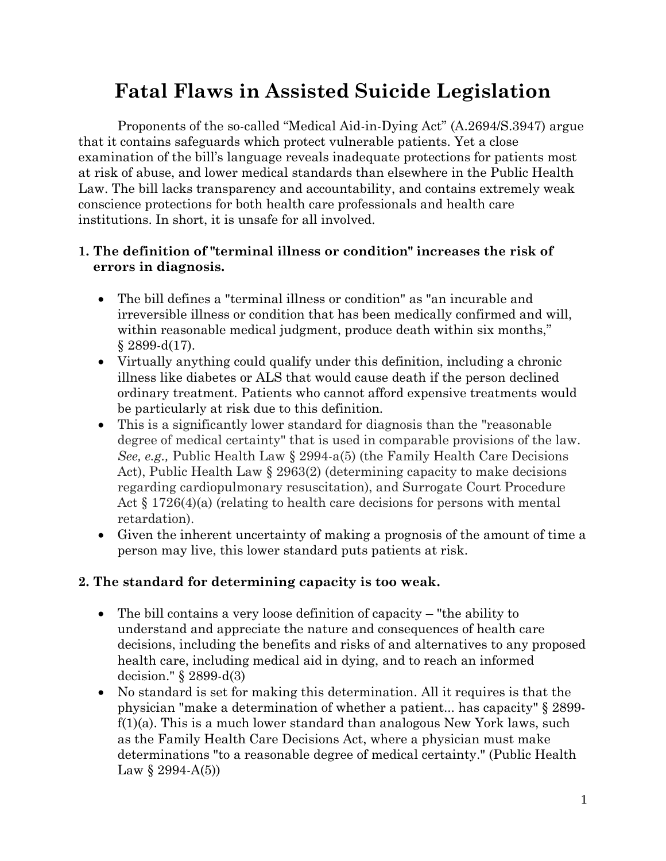# **Fatal Flaws in Assisted Suicide Legislation**

Proponents of the so-called "Medical Aid-in-Dying Act" (A.2694/S.3947) argue that it contains safeguards which protect vulnerable patients. Yet a close examination of the bill's language reveals inadequate protections for patients most at risk of abuse, and lower medical standards than elsewhere in the Public Health Law. The bill lacks transparency and accountability, and contains extremely weak conscience protections for both health care professionals and health care institutions. In short, it is unsafe for all involved.

#### **1. The definition of "terminal illness or condition" increases the risk of errors in diagnosis.**

- The bill defines a "terminal illness or condition" as "an incurable and irreversible illness or condition that has been medically confirmed and will, within reasonable medical judgment, produce death within six months,"  $§ 2899-d(17).$
- Virtually anything could qualify under this definition, including a chronic illness like diabetes or ALS that would cause death if the person declined ordinary treatment. Patients who cannot afford expensive treatments would be particularly at risk due to this definition.
- This is a significantly lower standard for diagnosis than the "reasonable degree of medical certainty" that is used in comparable provisions of the law. *See, e.g.,* Public Health Law § 2994-a(5) (the Family Health Care Decisions Act), Public Health Law § 2963(2) (determining capacity to make decisions regarding cardiopulmonary resuscitation), and Surrogate Court Procedure Act  $\S 1726(4)(a)$  (relating to health care decisions for persons with mental retardation).
- Given the inherent uncertainty of making a prognosis of the amount of time a person may live, this lower standard puts patients at risk.

#### **2. The standard for determining capacity is too weak.**

- The bill contains a very loose definition of capacity "the ability to understand and appreciate the nature and consequences of health care decisions, including the benefits and risks of and alternatives to any proposed health care, including medical aid in dying, and to reach an informed decision." § 2899-d(3)
- No standard is set for making this determination. All it requires is that the physician "make a determination of whether a patient... has capacity" § 2899 f(1)(a). This is a much lower standard than analogous New York laws, such as the Family Health Care Decisions Act, where a physician must make determinations "to a reasonable degree of medical certainty." (Public Health Law  $\S 2994-A(5)$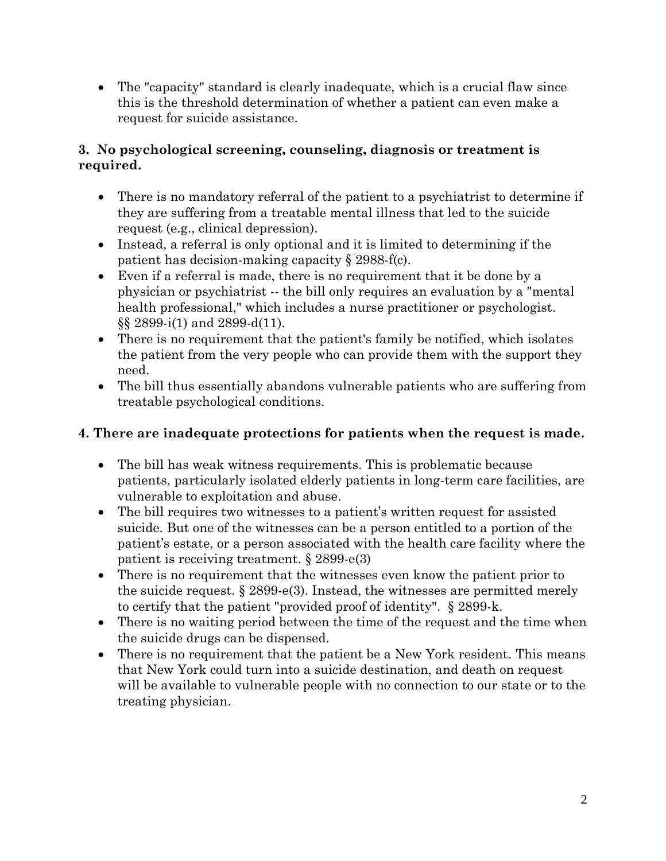The "capacity" standard is clearly inadequate, which is a crucial flaw since this is the threshold determination of whether a patient can even make a request for suicide assistance.

#### **3. No psychological screening, counseling, diagnosis or treatment is required.**

- There is no mandatory referral of the patient to a psychiatrist to determine if they are suffering from a treatable mental illness that led to the suicide request (e.g., clinical depression).
- Instead, a referral is only optional and it is limited to determining if the patient has decision-making capacity § 2988-f(c).
- Even if a referral is made, there is no requirement that it be done by a physician or psychiatrist -- the bill only requires an evaluation by a "mental health professional," which includes a nurse practitioner or psychologist. §§ 2899-i(1) and 2899-d(11).
- There is no requirement that the patient's family be notified, which isolates the patient from the very people who can provide them with the support they need.
- The bill thus essentially abandons vulnerable patients who are suffering from treatable psychological conditions.

### **4. There are inadequate protections for patients when the request is made.**

- The bill has weak witness requirements. This is problematic because patients, particularly isolated elderly patients in long-term care facilities, are vulnerable to exploitation and abuse.
- The bill requires two witnesses to a patient's written request for assisted suicide. But one of the witnesses can be a person entitled to a portion of the patient's estate, or a person associated with the health care facility where the patient is receiving treatment. § 2899-e(3)
- There is no requirement that the witnesses even know the patient prior to the suicide request. § 2899-e(3). Instead, the witnesses are permitted merely to certify that the patient "provided proof of identity". § 2899-k.
- There is no waiting period between the time of the request and the time when the suicide drugs can be dispensed.
- There is no requirement that the patient be a New York resident. This means that New York could turn into a suicide destination, and death on request will be available to vulnerable people with no connection to our state or to the treating physician.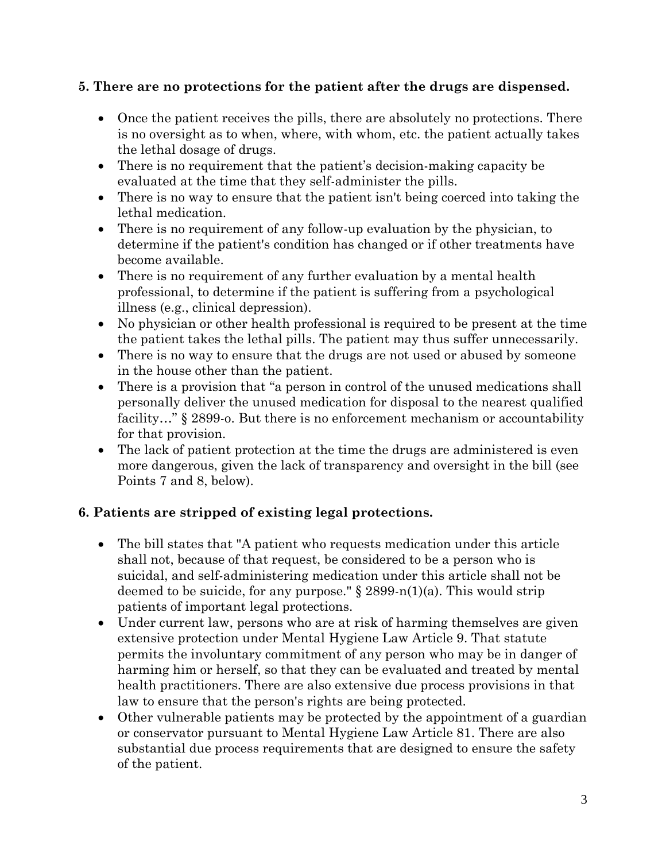#### **5. There are no protections for the patient after the drugs are dispensed.**

- Once the patient receives the pills, there are absolutely no protections. There is no oversight as to when, where, with whom, etc. the patient actually takes the lethal dosage of drugs.
- There is no requirement that the patient's decision-making capacity be evaluated at the time that they self-administer the pills.
- There is no way to ensure that the patient isn't being coerced into taking the lethal medication.
- There is no requirement of any follow-up evaluation by the physician, to determine if the patient's condition has changed or if other treatments have become available.
- There is no requirement of any further evaluation by a mental health professional, to determine if the patient is suffering from a psychological illness (e.g., clinical depression).
- No physician or other health professional is required to be present at the time the patient takes the lethal pills. The patient may thus suffer unnecessarily.
- There is no way to ensure that the drugs are not used or abused by someone in the house other than the patient.
- There is a provision that "a person in control of the unused medications shall personally deliver the unused medication for disposal to the nearest qualified facility..." § 2899-o. But there is no enforcement mechanism or accountability for that provision.
- The lack of patient protection at the time the drugs are administered is even more dangerous, given the lack of transparency and oversight in the bill (see Points 7 and 8, below).

#### **6. Patients are stripped of existing legal protections.**

- The bill states that "A patient who requests medication under this article shall not, because of that request, be considered to be a person who is suicidal, and self-administering medication under this article shall not be deemed to be suicide, for any purpose."  $\S 2899-n(1)(a)$ . This would strip patients of important legal protections.
- Under current law, persons who are at risk of harming themselves are given extensive protection under Mental Hygiene Law Article 9. That statute permits the involuntary commitment of any person who may be in danger of harming him or herself, so that they can be evaluated and treated by mental health practitioners. There are also extensive due process provisions in that law to ensure that the person's rights are being protected.
- Other vulnerable patients may be protected by the appointment of a guardian or conservator pursuant to Mental Hygiene Law Article 81. There are also substantial due process requirements that are designed to ensure the safety of the patient.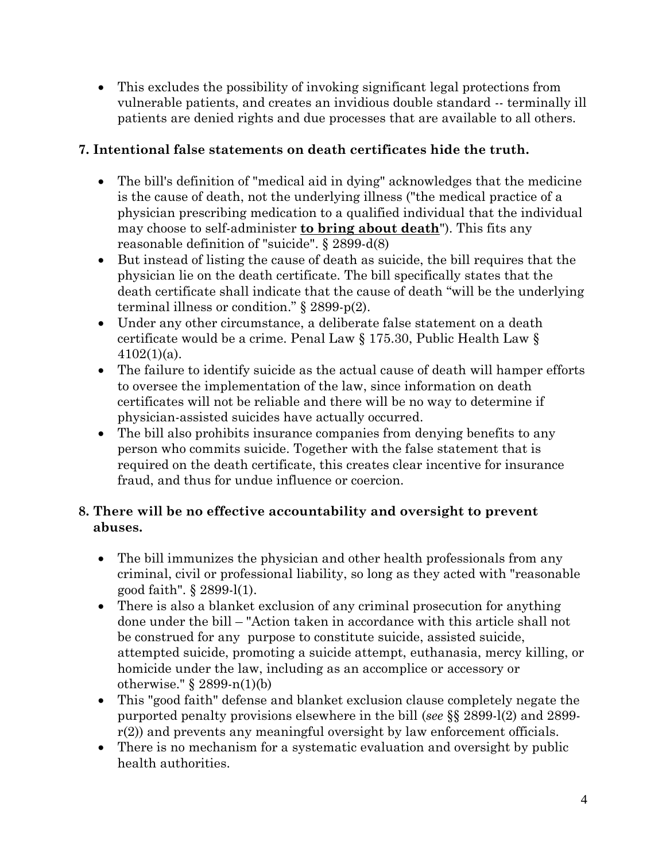This excludes the possibility of invoking significant legal protections from vulnerable patients, and creates an invidious double standard -- terminally ill patients are denied rights and due processes that are available to all others.

#### **7. Intentional false statements on death certificates hide the truth.**

- The bill's definition of "medical aid in dying" acknowledges that the medicine is the cause of death, not the underlying illness ("the medical practice of a physician prescribing medication to a qualified individual that the individual may choose to self-administer **to bring about death**"). This fits any reasonable definition of "suicide". § 2899-d(8)
- But instead of listing the cause of death as suicide, the bill requires that the physician lie on the death certificate. The bill specifically states that the death certificate shall indicate that the cause of death "will be the underlying terminal illness or condition." § 2899-p(2).
- Under any other circumstance, a deliberate false statement on a death certificate would be a crime. Penal Law § 175.30, Public Health Law §  $4102(1)(a)$ .
- The failure to identify suicide as the actual cause of death will hamper efforts to oversee the implementation of the law, since information on death certificates will not be reliable and there will be no way to determine if physician-assisted suicides have actually occurred.
- The bill also prohibits insurance companies from denying benefits to any person who commits suicide. Together with the false statement that is required on the death certificate, this creates clear incentive for insurance fraud, and thus for undue influence or coercion.

#### **8. There will be no effective accountability and oversight to prevent abuses.**

- The bill immunizes the physician and other health professionals from any criminal, civil or professional liability, so long as they acted with "reasonable good faith". § 2899-l(1).
- There is also a blanket exclusion of any criminal prosecution for anything done under the bill – "Action taken in accordance with this article shall not be construed for any purpose to constitute suicide, assisted suicide, attempted suicide, promoting a suicide attempt, euthanasia, mercy killing, or homicide under the law, including as an accomplice or accessory or otherwise." § 2899-n(1)(b)
- This "good faith" defense and blanket exclusion clause completely negate the purported penalty provisions elsewhere in the bill (*see* §§ 2899-l(2) and 2899 r(2)) and prevents any meaningful oversight by law enforcement officials.
- There is no mechanism for a systematic evaluation and oversight by public health authorities.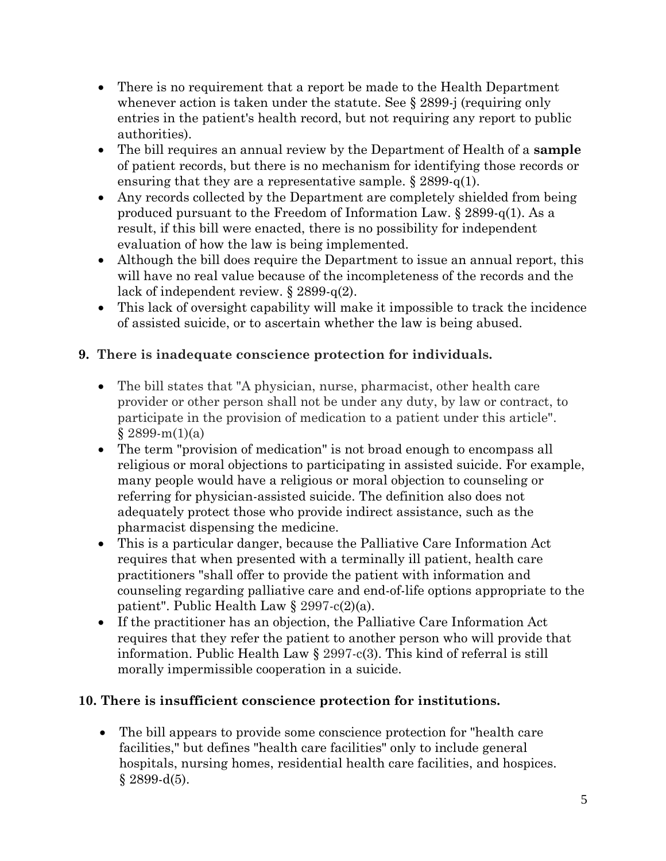- There is no requirement that a report be made to the Health Department whenever action is taken under the statute. See § 2899-j (requiring only entries in the patient's health record, but not requiring any report to public authorities).
- The bill requires an annual review by the Department of Health of a **sample** of patient records, but there is no mechanism for identifying those records or ensuring that they are a representative sample.  $\S 2899-q(1)$ .
- Any records collected by the Department are completely shielded from being produced pursuant to the Freedom of Information Law. § 2899-q(1). As a result, if this bill were enacted, there is no possibility for independent evaluation of how the law is being implemented.
- Although the bill does require the Department to issue an annual report, this will have no real value because of the incompleteness of the records and the lack of independent review. § 2899-q(2).
- This lack of oversight capability will make it impossible to track the incidence of assisted suicide, or to ascertain whether the law is being abused.

## **9. There is inadequate conscience protection for individuals.**

- The bill states that "A physician, nurse, pharmacist, other health care provider or other person shall not be under any duty, by law or contract, to participate in the provision of medication to a patient under this article".  $§ 2899-m(1)(a)$
- The term "provision of medication" is not broad enough to encompass all religious or moral objections to participating in assisted suicide. For example, many people would have a religious or moral objection to counseling or referring for physician-assisted suicide. The definition also does not adequately protect those who provide indirect assistance, such as the pharmacist dispensing the medicine.
- This is a particular danger, because the Palliative Care Information Act requires that when presented with a terminally ill patient, health care practitioners "shall offer to provide the patient with information and counseling regarding palliative care and end-of-life options appropriate to the patient". Public Health Law § 2997-c(2)(a).
- If the practitioner has an objection, the Palliative Care Information Act requires that they refer the patient to another person who will provide that information. Public Health Law § 2997-c(3). This kind of referral is still morally impermissible cooperation in a suicide.

#### **10. There is insufficient conscience protection for institutions.**

 The bill appears to provide some conscience protection for "health care facilities," but defines "health care facilities" only to include general hospitals, nursing homes, residential health care facilities, and hospices.  $§ 2899-d(5).$